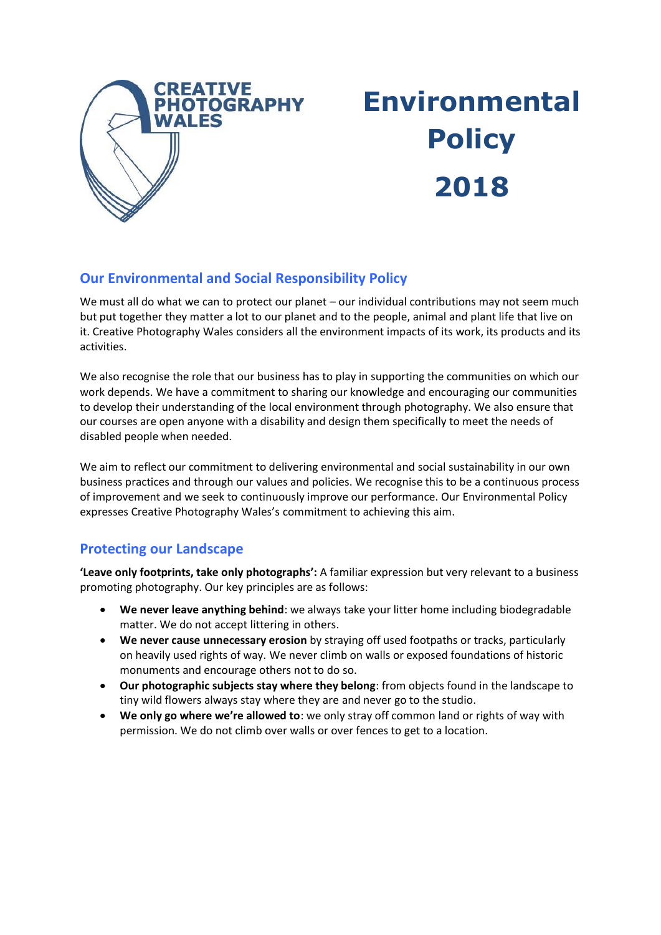

# **Environmental Policy 2018**

## **Our Environmental and Social Responsibility Policy**

We must all do what we can to protect our planet – our individual contributions may not seem much but put together they matter a lot to our planet and to the people, animal and plant life that live on it. Creative Photography Wales considers all the environment impacts of its work, its products and its activities.

We also recognise the role that our business has to play in supporting the communities on which our work depends. We have a commitment to sharing our knowledge and encouraging our communities to develop their understanding of the local environment through photography. We also ensure that our courses are open anyone with a disability and design them specifically to meet the needs of disabled people when needed.

We aim to reflect our commitment to delivering environmental and social sustainability in our own business practices and through our values and policies. We recognise this to be a continuous process of improvement and we seek to continuously improve our performance. Our Environmental Policy expresses Creative Photography Wales's commitment to achieving this aim.

### **Protecting our Landscape**

**'Leave only footprints, take only photographs':** A familiar expression but very relevant to a business promoting photography. Our key principles are as follows:

- **We never leave anything behind**: we always take your litter home including biodegradable matter. We do not accept littering in others.
- **We never cause unnecessary erosion** by straying off used footpaths or tracks, particularly on heavily used rights of way. We never climb on walls or exposed foundations of historic monuments and encourage others not to do so.
- **Our photographic subjects stay where they belong**: from objects found in the landscape to tiny wild flowers always stay where they are and never go to the studio.
- **We only go where we're allowed to**: we only stray off common land or rights of way with permission. We do not climb over walls or over fences to get to a location.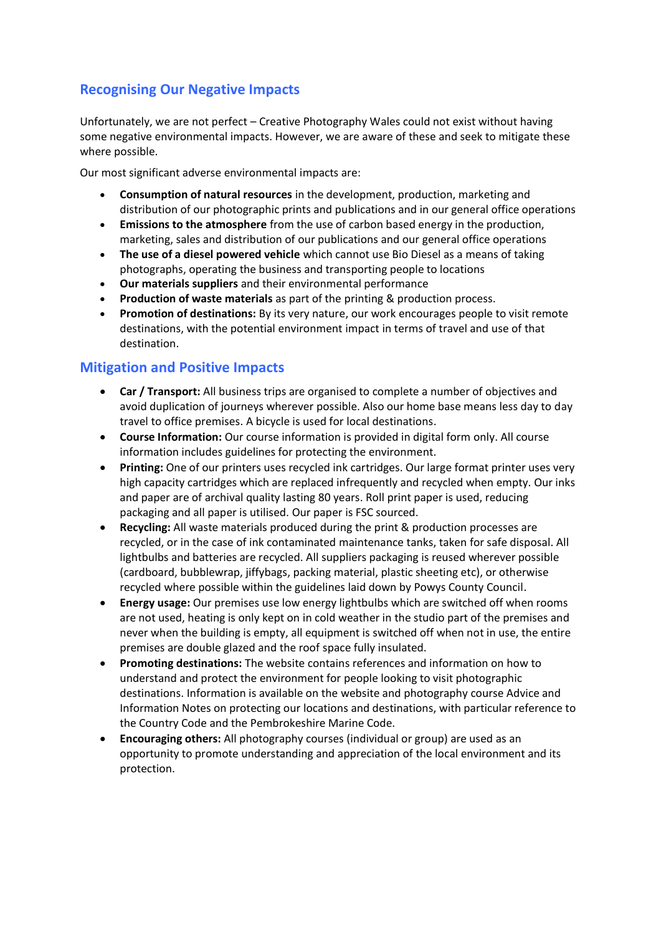## **Recognising Our Negative Impacts**

Unfortunately, we are not perfect – Creative Photography Wales could not exist without having some negative environmental impacts. However, we are aware of these and seek to mitigate these where possible.

Our most significant adverse environmental impacts are:

- **Consumption of natural resources** in the development, production, marketing and distribution of our photographic prints and publications and in our general office operations
- **Emissions to the atmosphere** from the use of carbon based energy in the production, marketing, sales and distribution of our publications and our general office operations
- **The use of a diesel powered vehicle** which cannot use Bio Diesel as a means of taking photographs, operating the business and transporting people to locations
- **Our materials suppliers** and their environmental performance
- **Production of waste materials** as part of the printing & production process.
- **Promotion of destinations:** By its very nature, our work encourages people to visit remote destinations, with the potential environment impact in terms of travel and use of that destination.

### **Mitigation and Positive Impacts**

- **Car / Transport:** All business trips are organised to complete a number of objectives and avoid duplication of journeys wherever possible. Also our home base means less day to day travel to office premises. A bicycle is used for local destinations.
- **Course Information:** Our course information is provided in digital form only. All course information includes guidelines for protecting the environment.
- **Printing:** One of our printers uses recycled ink cartridges. Our large format printer uses very high capacity cartridges which are replaced infrequently and recycled when empty. Our inks and paper are of archival quality lasting 80 years. Roll print paper is used, reducing packaging and all paper is utilised. Our paper is FSC sourced.
- **Recycling:** All waste materials produced during the print & production processes are recycled, or in the case of ink contaminated maintenance tanks, taken for safe disposal. All lightbulbs and batteries are recycled. All suppliers packaging is reused wherever possible (cardboard, bubblewrap, jiffybags, packing material, plastic sheeting etc), or otherwise recycled where possible within the guidelines laid down by Powys County Council.
- **Energy usage:** Our premises use low energy lightbulbs which are switched off when rooms are not used, heating is only kept on in cold weather in the studio part of the premises and never when the building is empty, all equipment is switched off when not in use, the entire premises are double glazed and the roof space fully insulated.
- **Promoting destinations:** The website contains references and information on how to understand and protect the environment for people looking to visit photographic destinations. Information is available on the website and photography course Advice and Information Notes on protecting our locations and destinations, with particular reference to the Country Code and the Pembrokeshire Marine Code.
- **Encouraging others:** All photography courses (individual or group) are used as an opportunity to promote understanding and appreciation of the local environment and its protection.